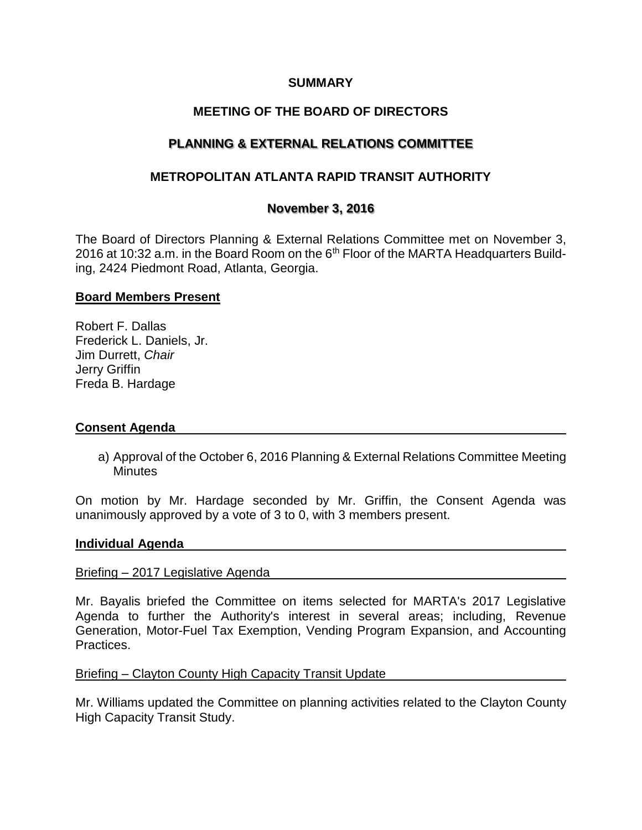# **SUMMARY**

# **MEETING OF THE BOARD OF DIRECTORS**

# **PLANNING & EXTERNAL RELATIONS COMMITTEE**

# **METROPOLITAN ATLANTA RAPID TRANSIT AUTHORITY**

## **November 3, 2016**

The Board of Directors Planning & External Relations Committee met on November 3, 2016 at 10:32 a.m. in the Board Room on the  $6<sup>th</sup>$  Floor of the MARTA Headquarters Building, 2424 Piedmont Road, Atlanta, Georgia.

### **Board Members Present**

Robert F. Dallas Frederick L. Daniels, Jr. Jim Durrett, *Chair* Jerry Griffin Freda B. Hardage

### **Consent Agenda**

a) Approval of the October 6, 2016 Planning & External Relations Committee Meeting **Minutes** 

On motion by Mr. Hardage seconded by Mr. Griffin, the Consent Agenda was unanimously approved by a vote of 3 to 0, with 3 members present.

#### **Individual Agenda**

#### Briefing – 2017 Legislative Agenda

Mr. Bayalis briefed the Committee on items selected for MARTA's 2017 Legislative Agenda to further the Authority's interest in several areas; including, Revenue Generation, Motor-Fuel Tax Exemption, Vending Program Expansion, and Accounting Practices.

### Briefing – Clayton County High Capacity Transit Update

Mr. Williams updated the Committee on planning activities related to the Clayton County High Capacity Transit Study.